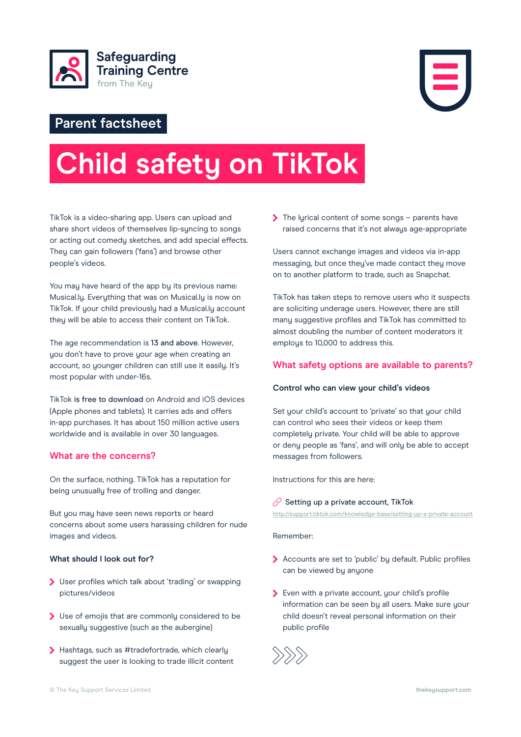



# **Parent factsheet**

# **Child safety on TikTok**

TikTok is a video-sharing app. Users can upload and share short videos of themselves lip-syncing to songs or acting out comedy sketches, and add special effects. They can gain followers ('fans') and browse other people's videos.

You may have heard of the app by its previous name: Musical.ly. Everything that was on Musical.ly is now on TikTok. If your child previously had a Musical.ly account they will be able to access their content on TikTok.

The age recommendation is 13 and above. However, you don't have to prove your age when creating an account, so younger children can still use it easily. It's most popular with under-16s.

TikTok is free to download on Android and iOS devices (Apple phones and tablets). It carries ads and offers in-app purchases. It has about 150 million active users worldwide and is available in over 30 languages.

# **What are the concerns?**

On the surface, nothing. TikTok has a reputation for being unusually free of trolling and danger.

But you may have seen news reports or heard concerns about some users harassing children for nude images and videos.

#### **What should I look out for?**

- User profiles which talk about 'trading' or swapping pictures/videos
- Use of emojis that are commonly considered to be sexually suggestive (such as the aubergine)
- > Hashtags, such as #tradefortrade, which clearly suggest the user is looking to trade illicit content

 $\sum$  The lyrical content of some songs – parents have raised concerns that it's not always age-appropriate

Users cannot exchange images and videos via in-app messaging, but once they've made contact they move on to another platform to trade, such as Snapchat.

TikTok has taken steps to remove users who it suspects are soliciting underage users. However, there are still many suggestive profiles and TikTok has committed to almost doubling the number of content moderators it employs to 10,000 to address this.

# **What safety options are available to parents?**

#### **Control who can view your child's videos**

Set your child's account to 'private' so that your child can control who sees their videos or keep them completely private. Your child will be able to approve or deny people as 'fans', and will only be able to accept messages from followers.

Instructions for this are here:

## $\oslash$  [Setting up a private account, TikTok](http://support.tiktok.com/knowledge-base/setting-up-a-private-account)

http://support.tiktok.com/knowledge-base/setting-up-a-private-account

Remember:

- Accounts are set to 'public' by default. Public profiles can be viewed by anyone
- Even with a private account, your child's profile information can be seen by all users. Make sure your child doesn't reveal personal information on their public profile